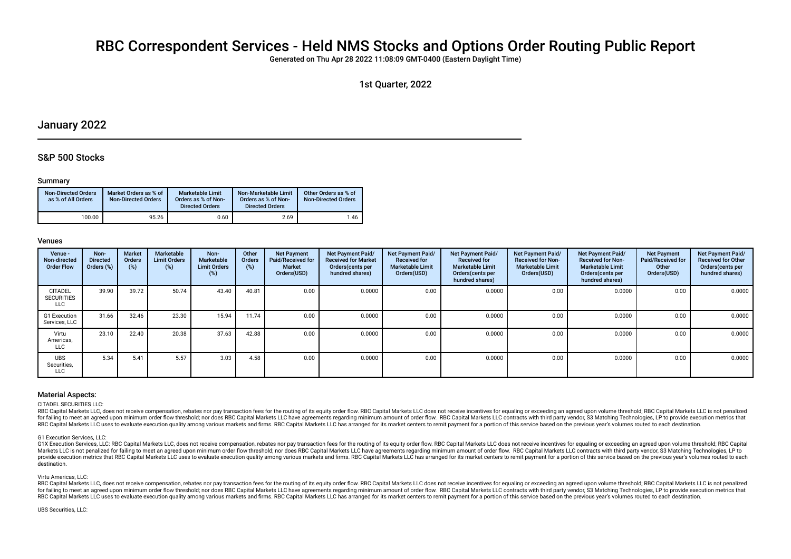# RBC Correspondent Services - Held NMS Stocks and Options Order Routing Public Report

Generated on Thu Apr 28 2022 11:08:09 GMT-0400 (Eastern Daylight Time)

1st Quarter, 2022

# January 2022

# S&P 500 Stocks

### Summary

| <b>Non-Directed Orders</b><br>as % of All Orders | Market Orders as % of<br><b>Non-Directed Orders</b> | <b>Marketable Limit</b><br>Orders as % of Non-<br><b>Directed Orders</b> | Non-Marketable Limit<br>Orders as % of Non-<br><b>Directed Orders</b> | Other Orders as % of<br><b>Non-Directed Orders</b> |
|--------------------------------------------------|-----------------------------------------------------|--------------------------------------------------------------------------|-----------------------------------------------------------------------|----------------------------------------------------|
| 100.00                                           | 95.26                                               | 0.60                                                                     | 2.69                                                                  | 1.46                                               |

#### Venues

| Venue -<br>Non-directed<br><b>Order Flow</b>      | Non-<br><b>Directed</b><br>Orders (%) | <b>Market</b><br>Orders<br>(%) | Marketable<br><b>Limit Orders</b><br>(%) | Non-<br>Marketable<br><b>Limit Orders</b><br>(%) | Other<br><b>Orders</b><br>$(\%)$ | <b>Net Payment</b><br>Paid/Received for<br>Market<br>Orders(USD) | <b>Net Payment Paid/</b><br><b>Received for Market</b><br>Orders(cents per<br>hundred shares) | <b>Net Payment Paid/</b><br><b>Received for</b><br><b>Marketable Limit</b><br>Orders(USD) | <b>Net Payment Paid/</b><br><b>Received for</b><br><b>Marketable Limit</b><br>Orders(cents per<br>hundred shares) | <b>Net Payment Paid/</b><br><b>Received for Non-</b><br><b>Marketable Limit</b><br>Orders(USD) | Net Payment Paid/<br><b>Received for Non-</b><br><b>Marketable Limit</b><br>Orders (cents per<br>hundred shares) | <b>Net Payment</b><br><b>Paid/Received for</b><br>Other<br>Orders(USD) | <b>Net Payment Paid/</b><br><b>Received for Other</b><br>Orders(cents per<br>hundred shares) |
|---------------------------------------------------|---------------------------------------|--------------------------------|------------------------------------------|--------------------------------------------------|----------------------------------|------------------------------------------------------------------|-----------------------------------------------------------------------------------------------|-------------------------------------------------------------------------------------------|-------------------------------------------------------------------------------------------------------------------|------------------------------------------------------------------------------------------------|------------------------------------------------------------------------------------------------------------------|------------------------------------------------------------------------|----------------------------------------------------------------------------------------------|
| <b>CITADEL</b><br><b>SECURITIES</b><br><b>LLC</b> | 39.90                                 | 39.72                          | 50.74                                    | 43.40                                            | 40.81                            | 0.00                                                             | 0.0000                                                                                        | 0.00                                                                                      | 0.0000                                                                                                            | 0.00                                                                                           | 0.0000                                                                                                           | 0.00                                                                   | 0.0000                                                                                       |
| G1 Execution<br>Services, LLC                     | 31.66                                 | 32.46                          | 23.30                                    | 15.94                                            | 11.74                            | 0.00                                                             | 0.0000                                                                                        | 0.00                                                                                      | 0.0000                                                                                                            | 0.00                                                                                           | 0.0000                                                                                                           | 0.00                                                                   | 0.0000                                                                                       |
| Virtu<br>Americas,<br>LLC                         | 23.10                                 | 22.40                          | 20.38                                    | 37.63                                            | 42.88                            | 0.00                                                             | 0.0000                                                                                        | 0.00                                                                                      | 0.0000                                                                                                            | 0.00                                                                                           | 0.0000                                                                                                           | 0.00                                                                   | 0.0000                                                                                       |
| <b>UBS</b><br>Securities,<br>LLC                  | 5.34                                  | 5.41                           | 5.57                                     | 3.03                                             | 4.58                             | 0.00                                                             | 0.0000                                                                                        | 0.00                                                                                      | 0.0000                                                                                                            | 0.00                                                                                           | 0.0000                                                                                                           | 0.00                                                                   | $0.0000$                                                                                     |

## Material Aspects:

#### CITADEL SECURITIES LLC:

RBC Capital Markets LLC, does not receive compensation, rebates nor pay transaction fees for the routing of its equity order flow. RBC Capital Markets LLC does not receive incentives for equaling or exceeding an agreed upo for failing to meet an agreed upon minimum order flow threshold; nor does RBC Capital Markets LLC have agreements regarding minimum amount of order flow. RBC Capital Markets LLC contracts with third party vendor, S3 Matchi RBC Capital Markets LLC uses to evaluate execution quality among various markets and firms. RBC Capital Markets LLC has arranged for its market centers to remit payment for a portion of this service based on the previous y

#### G1 Execution Services, LLC:

G1X Execution Services, LLC: RBC Capital Markets LLC, does not receive compensation, rebates nor pay transaction fees for the routing of its equity order flow. RBC Capital Markets LLC does not receive incentives for equali Markets LLC is not penalized for failing to meet an agreed upon minimum order flow threshold; nor does RBC Capital Markets LLC have agreements regarding minimum amount of order flow. RBC Capital Markets LLC contracts with provide execution metrics that RBC Capital Markets LLC uses to evaluate execution quality among various markets and firms. RBC Capital Markets LLC has arranged for its market centers to remit payment for a portion of this destination.

#### Virtu Americas, LLC:

RBC Capital Markets LLC, does not receive compensation, rebates nor pay transaction fees for the routing of its equity order flow. RBC Capital Markets LLC does not receive incentives for equaling or exceeding an agreed upo for failing to meet an agreed upon minimum order flow threshold: nor does RBC Capital Markets LLC have agreements regarding minimum amount of order flow. RBC Capital Markets LLC contracts with third party vendor. S3 Matchi RBC Capital Markets LLC uses to evaluate execution quality among various markets and firms. RBC Capital Markets LLC has arranged for its market centers to remit payment for a portion of this service based on the previous y

UBS Securities, LLC: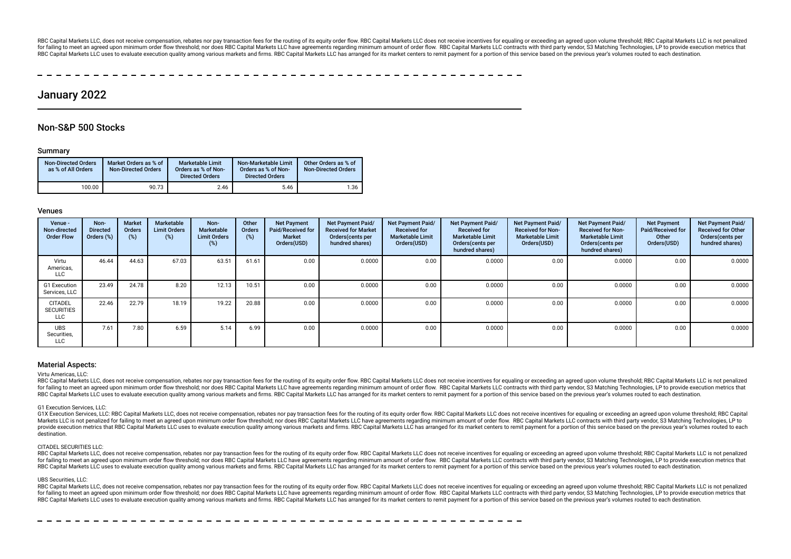RBC Capital Markets LLC, does not receive compensation, rebates nor pay transaction fees for the routing of its equity order flow. RBC Capital Markets LLC does not receive incentives for equaling or exceeding an agreed upo for failing to meet an agreed upon minimum order flow threshold; nor does RBC Capital Markets LLC have agreements regarding minimum amount of order flow. RBC Capital Markets LLC contracts with third party vendor. S3 Matchi RBC Capital Markets LLC uses to evaluate execution quality among various markets and firms. RBC Capital Markets LLC has arranged for its market centers to remit payment for a portion of this service based on the previous y

# January 2022

# Non-S&P 500 Stocks

#### Summary

| <b>Non-Directed Orders</b><br>as % of All Orders | Market Orders as % of<br><b>Non-Directed Orders</b> | <b>Marketable Limit</b><br>Orders as % of Non-<br><b>Directed Orders</b> | Non-Marketable Limit<br>Orders as % of Non-<br><b>Directed Orders</b> | Other Orders as % of<br><b>Non-Directed Orders</b> |
|--------------------------------------------------|-----------------------------------------------------|--------------------------------------------------------------------------|-----------------------------------------------------------------------|----------------------------------------------------|
| 100.00                                           | 90.73                                               | 2.46                                                                     | 5.46                                                                  | 1.36                                               |

### Venues

| Venue -<br>Non-directed<br><b>Order Flow</b>      | Non-<br><b>Directed</b><br>Orders (%) | <b>Market</b><br>Orders<br>$(\%)$ | Marketable<br><b>Limit Orders</b><br>$(\%)$ | Non-<br>Marketable<br><b>Limit Orders</b><br>(%) | Other<br><b>Orders</b><br>$(\%)$ | <b>Net Payment</b><br>Paid/Received for<br><b>Market</b><br>Orders(USD) | Net Payment Paid/<br><b>Received for Market</b><br>Orders (cents per<br>hundred shares) | Net Payment Paid/<br><b>Received for</b><br><b>Marketable Limit</b><br>Orders(USD) | Net Payment Paid/<br><b>Received for</b><br><b>Marketable Limit</b><br>Orders (cents per<br>hundred shares) | Net Payment Paid/<br><b>Received for Non-</b><br><b>Marketable Limit</b><br>Orders(USD) | Net Payment Paid/<br><b>Received for Non-</b><br><b>Marketable Limit</b><br>Orders (cents per<br>hundred shares) | <b>Net Payment</b><br><b>Paid/Received for</b><br>Other<br>Orders(USD) | Net Payment Paid/<br><b>Received for Other</b><br>Orders(cents per<br>hundred shares) |
|---------------------------------------------------|---------------------------------------|-----------------------------------|---------------------------------------------|--------------------------------------------------|----------------------------------|-------------------------------------------------------------------------|-----------------------------------------------------------------------------------------|------------------------------------------------------------------------------------|-------------------------------------------------------------------------------------------------------------|-----------------------------------------------------------------------------------------|------------------------------------------------------------------------------------------------------------------|------------------------------------------------------------------------|---------------------------------------------------------------------------------------|
| Virtu<br>Americas,<br><b>LLC</b>                  | 46.44                                 | 44.63                             | 67.03                                       | 63.51                                            | 61.61                            | 0.00                                                                    | 0.0000                                                                                  | 0.00                                                                               | 0.0000                                                                                                      | 0.00                                                                                    | 0.0000                                                                                                           | 0.00                                                                   | 0.0000                                                                                |
| G1 Execution<br>Services, LLC                     | 23.49                                 | 24.78                             | 8.20                                        | 12.13                                            | 10.51                            | 0.00                                                                    | 0.0000                                                                                  | 0.00                                                                               | 0.0000                                                                                                      | 0.00                                                                                    | 0.0000                                                                                                           | 0.00                                                                   | 0.0000                                                                                |
| <b>CITADEL</b><br><b>SECURITIES</b><br><b>LLC</b> | 22.46                                 | 22.79                             | 18.19                                       | 19.22                                            | 20.88                            | 0.00                                                                    | 0.0000                                                                                  | 0.00                                                                               | 0.0000                                                                                                      | 0.00                                                                                    | 0.0000                                                                                                           | 0.00                                                                   | 0.0000                                                                                |
| <b>UBS</b><br>Securities,<br>LLC                  | 7.61                                  | 7.80                              | 6.59                                        | 5.14                                             | 6.99                             | 0.00                                                                    | 0.0000                                                                                  | 0.00                                                                               | 0.0000                                                                                                      | 0.00                                                                                    | 0.0000                                                                                                           | 0.00                                                                   | 0.0000                                                                                |

### Material Aspects:

Virtu Americas, LLC:

RBC Capital Markets LLC, does not receive compensation, rebates nor pay transaction fees for the routing of its equity order flow. RBC Capital Markets LLC does not receive incentives for equaling or exceeding an agreed upo for failing to meet an agreed upon minimum order flow threshold; nor does RBC Capital Markets LLC have agreements regarding minimum amount of order flow. RBC Capital Markets LLC contracts with third party vendor, S3 Matchi RBC Capital Markets LLC uses to evaluate execution quality among various markets and firms. RBC Capital Markets LLC has arranged for its market centers to remit payment for a portion of this service based on the previous y

#### G1 Execution Services, LLC:

G1X Execution Services, LLC: RBC Capital Markets LLC, does not receive compensation, rebates nor pay transaction fees for the routing of its equity order flow. RBC Capital Markets LLC does not receive incentives for equali Markets LLC is not penalized for failing to meet an agreed upon minimum order flow threshold; nor does RBC Capital Markets LLC have agreements regarding minimum amount of order flow. RBC Capital Markets LLC contracts with provide execution metrics that RBC Capital Markets LLC uses to evaluate execution quality among various markets and firms. RBC Capital Markets LLC has arranged for its market centers to remit payment for a portion of this destination.

#### CITADEL SECURITIES LLC:

RBC Capital Markets LLC, does not receive compensation, rebates nor pay transaction fees for the routing of its equity order flow. RBC Capital Markets LLC does not receive incentives for equaling or exceeding an agreed upo for failing to meet an agreed upon minimum order flow threshold; nor does RBC Capital Markets LLC have agreements regarding minimum amount of order flow. RBC Capital Markets LLC contracts with third party vendor. S3 Matchi RBC Capital Markets LLC uses to evaluate execution quality among various markets and firms. RBC Capital Markets LLC has arranged for its market centers to remit payment for a portion of this service based on the previous y

#### UBS Securities, LLC:

RBC Capital Markets U.C. does not receive compensation, rebates nor pay transaction fees for the routing of its equity order flow. RBC Capital Markets U.C. does not receive incentives for equaling or exceeding an agreed up for failing to meet an agreed upon minimum order flow threshold, nor does RBC Capital Markets LLC have agreements regarding minimum amount of order flow. RBC Capital Markets LLC contracts with third party vendor, S3 Matchi RBC Capital Markets LLC uses to evaluate execution quality among various markets and firms. RBC Capital Markets LLC has arranged for its market centers to remit payment for a portion of this service based on the previous y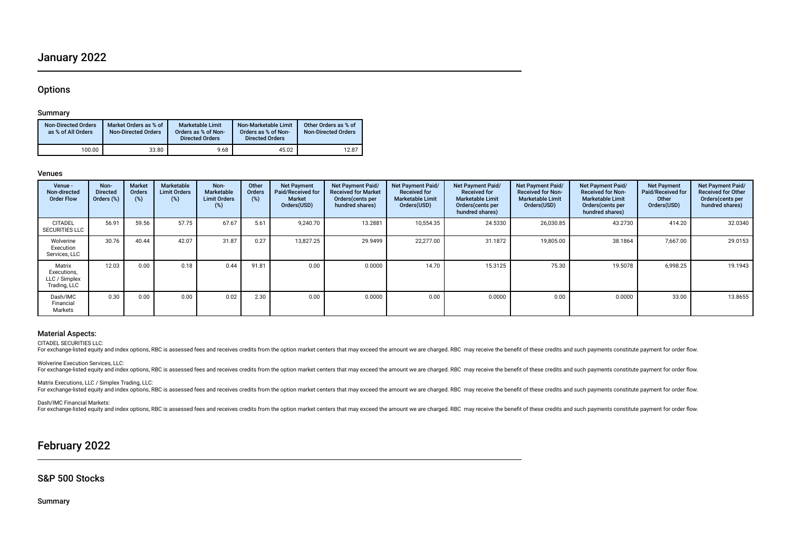# January 2022

# **Options**

# Summary

| <b>Non-Directed Orders</b><br>as % of All Orders | Market Orders as % of<br><b>Non-Directed Orders</b> | <b>Marketable Limit</b><br>Orders as % of Non-<br><b>Directed Orders</b> | Non-Marketable Limit<br>Orders as % of Non-<br><b>Directed Orders</b> | Other Orders as % of<br><b>Non-Directed Orders</b> |
|--------------------------------------------------|-----------------------------------------------------|--------------------------------------------------------------------------|-----------------------------------------------------------------------|----------------------------------------------------|
| 100.00                                           | 33.80                                               | 9.68                                                                     | 45.02                                                                 | 12.87                                              |

### Venues

| Venue -<br>Non-directed<br><b>Order Flow</b>           | Non-<br><b>Directed</b><br>Orders (%) | <b>Market</b><br><b>Orders</b><br>(%) | Marketable<br><b>Limit Orders</b><br>(%) | Non-<br>Marketable<br><b>Limit Orders</b><br>(%) | Other<br><b>Orders</b><br>(%) | <b>Net Payment</b><br>Paid/Received for<br>Market<br>Orders(USD) | Net Payment Paid/<br><b>Received for Market</b><br>Orders (cents per<br>hundred shares) | Net Payment Paid/<br><b>Received for</b><br><b>Marketable Limit</b><br>Orders(USD) | Net Payment Paid/<br><b>Received for</b><br><b>Marketable Limit</b><br>Orders (cents per<br>hundred shares) | Net Payment Paid/<br><b>Received for Non-</b><br><b>Marketable Limit</b><br>Orders(USD) | Net Payment Paid/<br><b>Received for Non-</b><br><b>Marketable Limit</b><br>Orders (cents per<br>hundred shares) | <b>Net Payment</b><br>Paid/Received for<br>Other<br>Orders(USD) | Net Payment Paid/<br><b>Received for Other</b><br>Orders(cents per<br>hundred shares) |
|--------------------------------------------------------|---------------------------------------|---------------------------------------|------------------------------------------|--------------------------------------------------|-------------------------------|------------------------------------------------------------------|-----------------------------------------------------------------------------------------|------------------------------------------------------------------------------------|-------------------------------------------------------------------------------------------------------------|-----------------------------------------------------------------------------------------|------------------------------------------------------------------------------------------------------------------|-----------------------------------------------------------------|---------------------------------------------------------------------------------------|
| <b>CITADEL</b><br><b>SECURITIES LLC</b>                | 56.91                                 | 59.56                                 | 57.75                                    | 67.67                                            | 5.61                          | 9,240.70                                                         | 13.2881                                                                                 | 10,554.35                                                                          | 24.5330                                                                                                     | 26,030.85                                                                               | 43.2730                                                                                                          | 414.20                                                          | 32.0340                                                                               |
| Wolverine<br>Execution<br>Services, LLC                | 30.76                                 | 40.44                                 | 42.07                                    | 31.87                                            | 0.27                          | 13.827.25                                                        | 29.9499                                                                                 | 22.277.00                                                                          | 31.1872                                                                                                     | 19,805.00                                                                               | 38.1864                                                                                                          | 7,667.00                                                        | 29.0153                                                                               |
| Matrix<br>Executions,<br>LLC / Simplex<br>Trading, LLC | 12.03                                 | 0.00                                  | 0.18                                     | 0.44                                             | 91.81                         | 0.00                                                             | 0.0000                                                                                  | 14.70                                                                              | 15.3125                                                                                                     | 75.30                                                                                   | 19.5078                                                                                                          | 6,998.25                                                        | 19.1943                                                                               |
| Dash/IMC<br>Financial<br>Markets                       | 0.30                                  | 0.00                                  | 0.00                                     | 0.02                                             | 2.30                          | 0.00                                                             | 0.0000                                                                                  | 0.00                                                                               | 0.0000                                                                                                      | 0.00                                                                                    | 0.0000                                                                                                           | 33.00                                                           | 13.8655                                                                               |

# Material Aspects:

CITADEL SECURITIES LLC:

For exchange-listed equity and index options, RBC is assessed fees and receives credits from the option market centers that may exceed the amount we are charged. RBC may receive the benefit of these credits and such paymen

### Wolverine Execution Services, LLC:

For exchange-listed equity and index options, RBC is assessed fees and receives credits from the option market centers that may exceed the amount we are charged. RBC may receive the benefit of these credits and such paymen

Matrix Executions, LLC / Simplex Trading, LLC:

For exchange-listed equity and index options, RBC is assessed fees and receives credits from the option market centers that may exceed the amount we are charged. RBC may receive the benefit of these credits and such paymen

Dash/IMC Financial Markets:

For exchange-listed equity and index options, RBC is assessed fees and receives credits from the option market centers that may exceed the amount we are charged. RBC may receive the benefit of these credits and such paymen

# February 2022

# S&P 500 Stocks

# Summary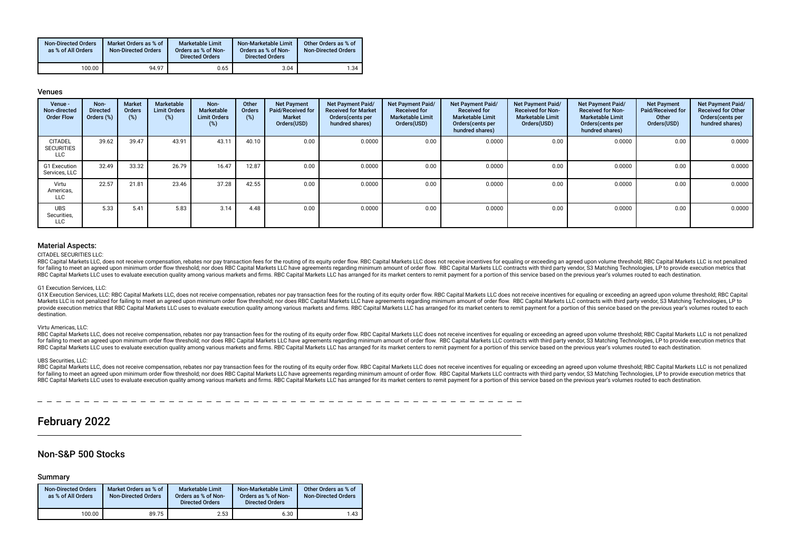| <b>Non-Directed Orders</b><br>as % of All Orders | Market Orders as % of<br><b>Non-Directed Orders</b> | Marketable Limit<br>Orders as % of Non-<br><b>Directed Orders</b> | Non-Marketable Limit<br>Orders as % of Non-<br><b>Directed Orders</b> | Other Orders as % of<br><b>Non-Directed Orders</b> |
|--------------------------------------------------|-----------------------------------------------------|-------------------------------------------------------------------|-----------------------------------------------------------------------|----------------------------------------------------|
| 100.00                                           | 94.97                                               | 0.65                                                              | 3.04                                                                  | 1.34                                               |

### Venues

| Venue -<br>Non-directed<br><b>Order Flow</b>      | Non-<br><b>Directed</b><br>Orders (%) | <b>Market</b><br><b>Orders</b><br>(%) | Marketable<br><b>Limit Orders</b><br>(%) | Non-<br>Marketable<br><b>Limit Orders</b><br>(%) | Other<br>Orders<br>(%) | <b>Net Payment</b><br><b>Paid/Received for</b><br>Market<br>Orders(USD) | Net Payment Paid/<br><b>Received for Market</b><br>Orders(cents per<br>hundred shares) | <b>Net Payment Paid/</b><br><b>Received for</b><br><b>Marketable Limit</b><br>Orders(USD) | <b>Net Payment Paid/</b><br><b>Received for</b><br><b>Marketable Limit</b><br>Orders(cents per<br>hundred shares) | Net Payment Paid/<br><b>Received for Non-</b><br><b>Marketable Limit</b><br>Orders(USD) | <b>Net Payment Paid/</b><br><b>Received for Non-</b><br><b>Marketable Limit</b><br>Orders (cents per<br>hundred shares) | <b>Net Payment</b><br>Paid/Received for<br>Other<br>Orders(USD) | Net Payment Paid/<br><b>Received for Other</b><br>Orders(cents per<br>hundred shares) |
|---------------------------------------------------|---------------------------------------|---------------------------------------|------------------------------------------|--------------------------------------------------|------------------------|-------------------------------------------------------------------------|----------------------------------------------------------------------------------------|-------------------------------------------------------------------------------------------|-------------------------------------------------------------------------------------------------------------------|-----------------------------------------------------------------------------------------|-------------------------------------------------------------------------------------------------------------------------|-----------------------------------------------------------------|---------------------------------------------------------------------------------------|
| <b>CITADEL</b><br><b>SECURITIES</b><br><b>LLC</b> | 39.62                                 | 39.47                                 | 43.91                                    | 43.11                                            | 40.10                  | 0.00                                                                    | 0.0000                                                                                 | 0.00                                                                                      | 0.0000                                                                                                            | 0.00                                                                                    | 0.0000                                                                                                                  | 0.00                                                            | 0.0000                                                                                |
| G1 Execution<br>Services, LLC                     | 32.49                                 | 33.32                                 | 26.79                                    | 16.47                                            | 12.87                  | 0.00                                                                    | 0.0000                                                                                 | 0.00                                                                                      | 0.0000                                                                                                            | 0.00                                                                                    | 0.0000                                                                                                                  | 0.00                                                            | 0.0000                                                                                |
| Virtu<br>Americas,<br><b>LLC</b>                  | 22.57                                 | 21.81                                 | 23.46                                    | 37.28                                            | 42.55                  | 0.00                                                                    | 0.0000                                                                                 | 0.00                                                                                      | 0.0000                                                                                                            | 0.00                                                                                    | 0.0000                                                                                                                  | 0.00                                                            | 0.0000                                                                                |
| <b>UBS</b><br>Securities,<br><b>LLC</b>           | 5.33                                  | 5.41                                  | 5.83                                     | 3.14                                             | 4.48                   | 0.00                                                                    | 0.0000                                                                                 | 0.00                                                                                      | 0.0000                                                                                                            | 0.00                                                                                    | 0.0000                                                                                                                  | 0.00                                                            | 0.0000                                                                                |

#### Material Aspects:

#### CITADEL SECURITIES LLC:

RBC Capital Markets LLC, does not receive compensation, rebates nor pay transaction fees for the routing of its equity order flow. RBC Capital Markets LLC does not receive incentives for equaling or exceeding an agreed upo for failing to meet an agreed upon minimum order flow threshold, nor does RBC Capital Markets LLC have agreements regarding minimum amount of order flow. RBC Capital Markets LLC contracts with third party vendor, S3 Matchi RBC Capital Markets LLC uses to evaluate execution quality among various markets and firms. RBC Capital Markets LLC has arranged for its market centers to remit payment for a portion of this service based on the previous y

#### G1 Execution Services, LLC:

G1X Execution Services. LLC: RBC Capital Markets LLC. does not receive compensation, rebates nor pay transaction fees for the routing of its equity order flow. RBC Capital Markets LLC does not receive incentives for equali District in the contracts with third party vendor, S. Matching Technologies, LP to the contracts with the second and the second contracts with the second article is the contracts with third party vendor, S3 Matching Techno provide execution metrics that RBC Capital Markets LLC uses to evaluate execution quality among various markets and firms. RBC Capital Markets LLC has arranged for its market centers to remit payment for a portion of this destination.

#### Virtu Americas, LLC:

RBC Capital Markets LLC, does not receive compensation, rebates nor pay transaction fees for the routing of its equity order flow. RBC Capital Markets LLC does not receive incentives for equaling or exceeding an agreed upo for failing to meet an agreed upon minimum order flow threshold; nor does RBC Capital Markets LLC have agreements regarding minimum amount of order flow. RBC Capital Markets LLC contracts with third party vendor, S3 Matchi RBC Capital Markets LLC uses to evaluate execution quality among various markets and firms. RBC Capital Markets LLC has arranged for its market centers to remit payment for a portion of this service based on the previous y

#### UBS Securities, LLC:

RBC Capital Markets LLC, does not receive compensation, rebates nor pay transaction fees for the routing of its equity order flow. RBC Capital Markets LLC does not receive incentives for equaling or exceeding an agreed upo for failing to meet an agreed upon minimum order flow threshold; nor does RBC Capital Markets LLC have agreements regarding minimum amount of order flow. RBC Capital Markets LLC contracts with third party vendor, S3 Matchi RBC Capital Markets U.C. uses to evaluate execution quality among various markets and firms. RBC Capital Markets U.C. has arranged for its market centers to remit payment for a portion of this service based on the previous

# February 2022

# Non-S&P 500 Stocks

#### Summary

| <b>Non-Directed Orders</b><br>as % of All Orders | Market Orders as % of<br><b>Non-Directed Orders</b> | <b>Marketable Limit</b><br>Orders as % of Non-<br><b>Directed Orders</b> | Non-Marketable Limit<br>Orders as % of Non-<br><b>Directed Orders</b> | Other Orders as % of<br><b>Non-Directed Orders</b> |
|--------------------------------------------------|-----------------------------------------------------|--------------------------------------------------------------------------|-----------------------------------------------------------------------|----------------------------------------------------|
| 100.00                                           | 89.75                                               | 2.53                                                                     | 6.30                                                                  | 1.43                                               |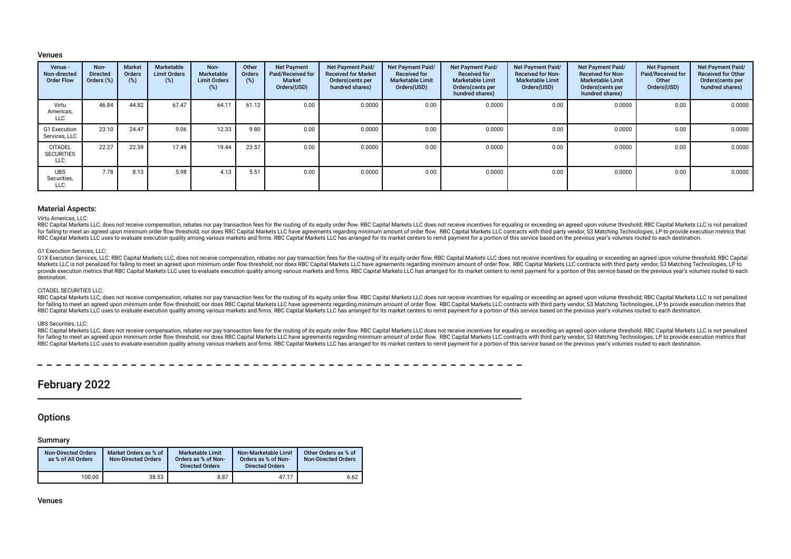#### Venues

| Venue -<br>Non-directed<br><b>Order Flow</b> | Non-<br><b>Directed</b><br>Orders (%) | <b>Market</b><br><b>Orders</b><br>$(\%)$ | Marketable<br><b>Limit Orders</b><br>(%) | Non-<br>Marketable<br><b>Limit Orders</b><br>(%) | Other<br>Orders<br>(%) | <b>Net Payment</b><br><b>Paid/Received for</b><br><b>Market</b><br>Orders(USD) | <b>Net Payment Paid/</b><br><b>Received for Market</b><br>Orders (cents per<br>hundred shares) | Net Payment Paid/<br><b>Received for</b><br><b>Marketable Limit</b><br>Orders(USD) | <b>Net Payment Paid/</b><br><b>Received for</b><br><b>Marketable Limit</b><br>Orders (cents per<br>hundred shares) | Net Payment Paid/<br><b>Received for Non-</b><br><b>Marketable Limit</b><br>Orders(USD) | <b>Net Payment Paid/</b><br><b>Received for Non-</b><br><b>Marketable Limit</b><br>Orders (cents per<br>hundred shares) | <b>Net Payment</b><br><b>Paid/Received for</b><br>Other<br>Orders(USD) | Net Payment Paid/<br><b>Received for Other</b><br>Orders (cents per<br>hundred shares) |
|----------------------------------------------|---------------------------------------|------------------------------------------|------------------------------------------|--------------------------------------------------|------------------------|--------------------------------------------------------------------------------|------------------------------------------------------------------------------------------------|------------------------------------------------------------------------------------|--------------------------------------------------------------------------------------------------------------------|-----------------------------------------------------------------------------------------|-------------------------------------------------------------------------------------------------------------------------|------------------------------------------------------------------------|----------------------------------------------------------------------------------------|
| Virtu<br>Americas,<br>LLC                    | 46.84                                 | 44.82                                    | 67.47                                    | 64.11                                            | 61.12                  | 0.00                                                                           | 0.0000                                                                                         | 0.00                                                                               | 0.0000                                                                                                             | 0.00                                                                                    | 0.0000                                                                                                                  | 0.00                                                                   | 0.0000                                                                                 |
| G1 Execution<br>Services, LLC                | 23.10                                 | 24.47                                    | 9.06                                     | 12.33                                            | 9.80                   | 0.00                                                                           | 0.0000                                                                                         | 0.00                                                                               | 0.0000                                                                                                             | 0.00                                                                                    | 0.0000                                                                                                                  | 0.00                                                                   | 0.0000                                                                                 |
| <b>CITADEL</b><br><b>SECURITIES</b><br>LLC   | 22.27                                 | 22.59                                    | 17.49                                    | 19.44                                            | 23.57                  | 0.00                                                                           | 0.0000                                                                                         | 0.00                                                                               | 0.0000                                                                                                             | 0.00                                                                                    | 0.0000                                                                                                                  | 0.00                                                                   | 0.0000                                                                                 |
| <b>UBS</b><br>Securities,<br><b>LLC</b>      | 7.78                                  | 8.13                                     | 5.98                                     | 4.13                                             | 5.51                   | 0.00                                                                           | 0.0000                                                                                         | 0.00                                                                               | 0.0000                                                                                                             | 0.00                                                                                    | 0.0000                                                                                                                  | 0.00                                                                   | 0.0000                                                                                 |

### Material Aspects:

#### Virtu Americas, LLC:

RBC Capital Markets LLC, does not receive compensation, rebates nor pay transaction fees for the routing of its equity order flow. RBC Capital Markets LLC does not receive incentives for equaling or exceeding an agreed upo for failing to meet an agreed upon minimum order flow threshold; nor does RBC Capital Markets LLC have agreements regarding minimum amount of order flow. RBC Capital Markets LLC contracts with third party vendor. S3 Matchi RBC Capital Markets LLC uses to evaluate execution quality among various markets and firms. RBC Capital Markets LLC has arranged for its market centers to remit payment for a portion of this service based on the previous y

#### G1 Execution Services, LLC:

G1X Execution Services, LLC: RBC Capital Markets LLC, does not receive compensation, rebates nor pay transaction fees for the routing of its equity order flow. RBC Capital Markets LLC does not receive incentives for equali Markets LLC is not penalized for failing to meet an agreed upon minimum order flow threshold; nor does RBC Capital Markets LLC have agreements regarding minimum amount of order flow. RBC Capital Markets LLC contracts with provide execution metrics that RBC Capital Markets LLC uses to evaluate execution quality among various markets and firms. RBC Capital Markets LLC has arranged for its market centers to remit payment for a portion of this destination.

#### CITADEL SECURITIES LLC:

RBC Capital Markets LLC, does not receive compensation, rebates nor pay transaction fees for the routing of its equity order flow. RBC Capital Markets LLC does not receive incentives for equaling or exceeding an agreed upo for failing to meet an agreed upon minimum order flow threshold; nor does RBC Capital Markets LLC have agreements regarding minimum amount of order flow. RBC Capital Markets LLC contracts with third party vendor, S3 Matchi RBC Capital Markets LLC uses to evaluate execution quality among various markets and firms. RBC Capital Markets LLC has arranged for its market centers to remit payment for a portion of this service based on the previous y

#### UBS Securities, LLC:

RBC Capital Markets LLC, does not receive compensation, rebates nor pay transaction fees for the routing of its equity order flow. RBC Capital Markets LLC does not receive incentives for equaling or exceeding an agreed upo for failing to meet an agreed upon minimum order flow threshold; nor does RBC Capital Markets LLC have agreements regarding minimum amount of order flow. RBC Capital Markets LLC contracts with third party vendor, S3 Matchi RBC Capital Markets LLC uses to evaluate execution quality among various markets and firms. RBC Capital Markets LLC has arranged for its market centers to remit payment for a portion of this service based on the previous y

# February 2022

### **Options**

# Summary

| <b>Non-Directed Orders</b><br>as % of All Orders | Market Orders as % of<br><b>Non-Directed Orders</b> | <b>Marketable Limit</b><br>Orders as % of Non-<br><b>Directed Orders</b> | Non-Marketable Limit<br>Orders as % of Non-<br><b>Directed Orders</b> | Other Orders as % of<br><b>Non-Directed Orders</b> |
|--------------------------------------------------|-----------------------------------------------------|--------------------------------------------------------------------------|-----------------------------------------------------------------------|----------------------------------------------------|
| 100.00                                           | 38.53                                               | 8.87                                                                     | 47.17                                                                 | 6.62                                               |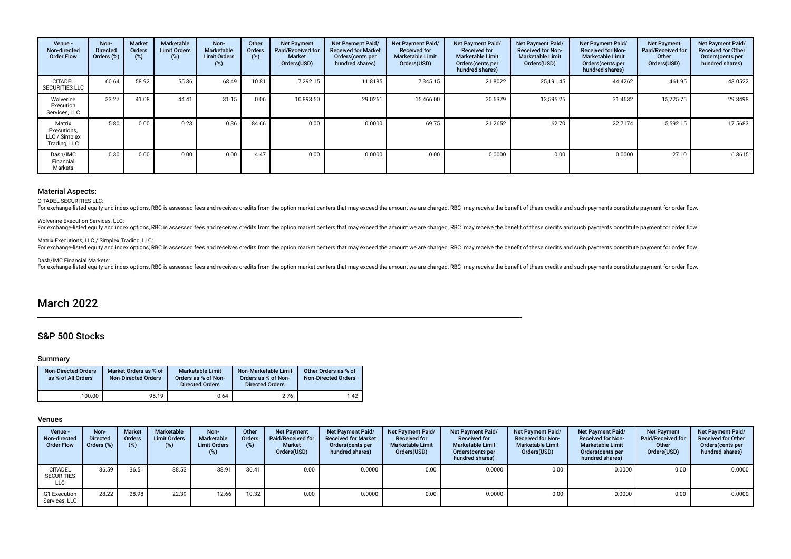| Venue -<br>Non-directed<br><b>Order Flow</b>           | Non-<br><b>Directed</b><br>Orders (%) | <b>Market</b><br><b>Orders</b><br>(%) | Marketable<br><b>Limit Orders</b><br>(%) | Non-<br><b>Marketable</b><br><b>Limit Orders</b><br>(5) | Other<br><b>Orders</b><br>(%) | <b>Net Payment</b><br>Paid/Received for<br>Market<br>Orders(USD) | Net Payment Paid/<br><b>Received for Market</b><br>Orders(cents per<br>hundred shares) | Net Payment Paid/<br><b>Received for</b><br><b>Marketable Limit</b><br>Orders(USD) | <b>Net Payment Paid/</b><br><b>Received for</b><br><b>Marketable Limit</b><br>Orders (cents per<br>hundred shares) | Net Payment Paid/<br><b>Received for Non-</b><br><b>Marketable Limit</b><br>Orders(USD) | Net Payment Paid/<br><b>Received for Non-</b><br><b>Marketable Limit</b><br>Orders(cents per<br>hundred shares) | <b>Net Payment</b><br><b>Paid/Received for</b><br>Other<br>Orders(USD) | Net Payment Paid/<br><b>Received for Other</b><br>Orders(cents per<br>hundred shares) |
|--------------------------------------------------------|---------------------------------------|---------------------------------------|------------------------------------------|---------------------------------------------------------|-------------------------------|------------------------------------------------------------------|----------------------------------------------------------------------------------------|------------------------------------------------------------------------------------|--------------------------------------------------------------------------------------------------------------------|-----------------------------------------------------------------------------------------|-----------------------------------------------------------------------------------------------------------------|------------------------------------------------------------------------|---------------------------------------------------------------------------------------|
| <b>CITADEL</b><br><b>SECURITIES LLC</b>                | 60.64                                 | 58.92                                 | 55.36                                    | 68.49                                                   | 10.81                         | 7,292.15                                                         | 11.8185                                                                                | 7,345.15                                                                           | 21.8022                                                                                                            | 25,191.45                                                                               | 44.4262                                                                                                         | 461.95                                                                 | 43.0522                                                                               |
| Wolverine<br>Execution<br>Services, LLC                | 33.27                                 | 41.08                                 | 44.41                                    | 31.15                                                   | 0.06                          | 10,893.50                                                        | 29.0261                                                                                | 15,466.00                                                                          | 30.6379                                                                                                            | 13,595.25                                                                               | 31.4632                                                                                                         | 15,725.75                                                              | 29.8498                                                                               |
| Matrix<br>Executions,<br>LLC / Simplex<br>Trading, LLC | 5.80                                  | 0.00                                  | 0.23                                     | 0.36                                                    | 84.66                         | 0.00                                                             | 0.0000                                                                                 | 69.75                                                                              | 21.2652                                                                                                            | 62.70                                                                                   | 22.7174                                                                                                         | 5,592.15                                                               | 17.5683                                                                               |
| Dash/IMC<br>Financial<br>Markets                       | 0.30                                  | 0.00                                  | 0.00                                     | 0.00                                                    | 4.47                          | 0.00                                                             | 0.0000                                                                                 | 0.00                                                                               | 0.0000                                                                                                             | 0.00                                                                                    | 0.0000                                                                                                          | 27.10                                                                  | 6.3615                                                                                |

CITADEL SECURITIES LLC:

For exchange-listed equity and index options, RBC is assessed fees and receives credits from the option market centers that may exceed the amount we are charged. RBC may receive the benefit of these credits and such paymen

#### Wolverine Execution Services, LLC:

For exchange-listed equity and index options, RBC is assessed fees and receives credits from the option market centers that may exceed the amount we are charged. RBC may receive the benefit of these credits and such paymen

#### Matrix Executions, LLC / Simplex Trading, LLC:

For exchange-listed equity and index options. RBC is assessed fees and receives credits from the option market centers that may exceed the amount we are charged. RBC may receive the benefit of these credits and such paymen

#### Dash/IMC Financial Markets:

For exchange-listed equity and index options, RBC is assessed fees and receives credits from the option market centers that may exceed the amount we are charged. RBC may receive the benefit of these credits and such paymen

# March 2022

# S&P 500 Stocks

#### Summary

| <b>Non-Directed Orders</b><br>as % of All Orders | Market Orders as % of<br><b>Non-Directed Orders</b> | Marketable Limit<br>Orders as % of Non-<br><b>Directed Orders</b> | Non-Marketable Limit<br>Orders as % of Non-<br><b>Directed Orders</b> | Other Orders as % of<br><b>Non-Directed Orders</b> |
|--------------------------------------------------|-----------------------------------------------------|-------------------------------------------------------------------|-----------------------------------------------------------------------|----------------------------------------------------|
| 100.00                                           | 95.19                                               | 0.64                                                              | 2.76                                                                  | 1.42                                               |

### Venues

| Venue -<br>Non-directed<br><b>Order Flow</b> | Non-<br><b>Directed</b><br>Orders (%) | <b>Market</b><br><b>Orders</b><br>(%) | Marketable<br><b>Limit Orders</b><br>(%) | Non-<br>Marketable<br><b>Limit Orders</b><br>$(\%)$ | Other<br>Orders<br>(%) | <b>Net Payment</b><br>Paid/Received for<br><b>Market</b><br>Orders(USD) | <b>Net Payment Paid/</b><br><b>Received for Market</b><br>Orders (cents per<br>hundred shares) | <b>Net Payment Paid/</b><br><b>Received for</b><br><b>Marketable Limit</b><br>Orders(USD) | <b>Net Payment Paid/</b><br><b>Received for</b><br><b>Marketable Limit</b><br>Orders (cents per<br>hundred shares) | Net Payment Paid/<br><b>Received for Non-</b><br><b>Marketable Limit</b><br>Orders(USD) | <b>Net Payment Paid/</b><br><b>Received for Non-</b><br><b>Marketable Limit</b><br>Orders(cents per<br>hundred shares) | <b>Net Payment</b><br>Paid/Received for<br>Other<br>Orders(USD) | <b>Net Payment Paid/</b><br><b>Received for Other</b><br>Orders(cents per<br>hundred shares) |
|----------------------------------------------|---------------------------------------|---------------------------------------|------------------------------------------|-----------------------------------------------------|------------------------|-------------------------------------------------------------------------|------------------------------------------------------------------------------------------------|-------------------------------------------------------------------------------------------|--------------------------------------------------------------------------------------------------------------------|-----------------------------------------------------------------------------------------|------------------------------------------------------------------------------------------------------------------------|-----------------------------------------------------------------|----------------------------------------------------------------------------------------------|
| <b>CITADEL</b><br><b>SECURITIES</b><br>LLC   | 36.59                                 | 36.51                                 | 38.53                                    | 38.91                                               | 36.41                  | 0.00                                                                    | 0.0000                                                                                         | 0.00                                                                                      | 0.0000                                                                                                             | 0.00                                                                                    | 0.0000                                                                                                                 | 0.00                                                            | 0.0000                                                                                       |
| G1 Execution<br>Services, LLC                | 28.22                                 | 28.98                                 | 22.39                                    | 12.66                                               | 10.32                  | 0.00                                                                    | 0.0000                                                                                         | 0.00                                                                                      | 0.0000                                                                                                             | 0.00                                                                                    | 0.0000                                                                                                                 | 0.00                                                            | 0.0000                                                                                       |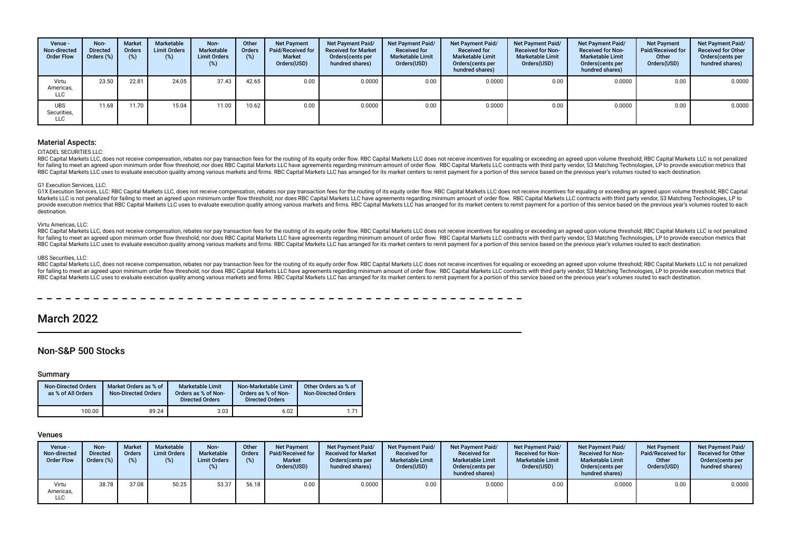| Venue -<br>Non-directed<br><b>Order Flow</b> | Non-<br><b>Directed</b><br>Orders (%) | <b>Market</b><br><b>Orders</b><br>(%) | Marketable<br><b>Limit Orders</b><br>(%) | Non-<br>Marketable<br><b>Limit Orders</b><br>(%) | Other<br>Orders<br>(%) | <b>Net Payment</b><br>Paid/Received for<br><b>Market</b><br>Orders(USD) | <b>Net Payment Paid/</b><br><b>Received for Market</b><br>Orders(cents per<br>hundred shares) | Net Payment Paid/<br><b>Received for</b><br><b>Marketable Limit</b><br>Orders(USD) | Net Payment Paid/<br><b>Received for</b><br><b>Marketable Limit</b><br>Orders (cents per<br>hundred shares) | Net Payment Paid/<br><b>Received for Non-</b><br><b>Marketable Limit</b><br>Orders(USD) | <b>Net Payment Paid/</b><br><b>Received for Non-</b><br><b>Marketable Limit</b><br>Orders (cents per<br>hundred shares) | <b>Net Payment</b><br>Paid/Received for<br>Other<br>Orders(USD) | <b>Net Payment Paid/</b><br><b>Received for Other</b><br>Orders(cents per<br>hundred shares) |
|----------------------------------------------|---------------------------------------|---------------------------------------|------------------------------------------|--------------------------------------------------|------------------------|-------------------------------------------------------------------------|-----------------------------------------------------------------------------------------------|------------------------------------------------------------------------------------|-------------------------------------------------------------------------------------------------------------|-----------------------------------------------------------------------------------------|-------------------------------------------------------------------------------------------------------------------------|-----------------------------------------------------------------|----------------------------------------------------------------------------------------------|
| Virtu<br>Americas,<br><b>LLC</b>             | 23.50                                 | 22.81                                 | 24.05                                    | 37.43                                            | 42.65                  | 0.00                                                                    | 0.0000                                                                                        | 0.00                                                                               | 0.0000                                                                                                      | 0.00                                                                                    | 0.0000                                                                                                                  | 0.00                                                            | 0.0000                                                                                       |
| <b>UBS</b><br>Securities,<br><b>LLC</b>      | 11.68                                 | 11.70                                 | 15.04                                    | 11.00                                            | 10.62                  | 0.00                                                                    | 0.0000                                                                                        | 0.00                                                                               | 0.0000                                                                                                      | 0.00                                                                                    | 0.0000                                                                                                                  | 0.00                                                            | 0.0000                                                                                       |

#### CITADEL SECURITIES LLC:

RBC Capital Markets LLC does not receive compensation, rebates nor pay transaction fees for the routing of its equity order flow. RBC Capital Markets LLC does not receive incentives for equaling or exceeding an agreed upon for failing to meet an agreed upon minimum order flow threshold; nor does RBC Capital Markets LLC have agreements regarding minimum amount of order flow. RBC Capital Markets LLC contracts with third party vendor, S3 Matchi RBC Capital Markets LLC uses to evaluate execution quality among various markets and firms. RBC Capital Markets LLC has arranged for its market centers to remit payment for a portion of this service based on the previous y

#### G1 Execution Services, LLC:

G1X Execution Services. LLC: RBC Capital Markets LLC. does not receive compensation, rebates nor pay transaction fees for the routing of its equity order flow. RBC Capital Markets LLC does not receive incentives for equali Markets LLC is not penalized for failing to meet an agreed upon minimum order flow threshold; nor does RBC Capital Markets LLC have agreements regarding minimum amount of order flow. RBC Capital Markets LLC contracts with provide execution metrics that RBC Capital Markets LLC uses to evaluate execution quality among various markets and firms. RBC Capital Markets LLC has arranged for its market centers to remit payment for a portion of this destination.

#### Virtu Americas, LLC:

RBC Capital Markets LLC, does not receive compensation, rebates nor pay transaction fees for the routing of its equity order flow. RBC Capital Markets LLC does not receive incentives for equaling or exceeding an agreed upo for failing to meet an agreed upon minimum order flow threshold; nor does RBC Capital Markets LLC have agreements regarding minimum amount of order flow. RBC Capital Markets LLC contracts with third party vendor, S3 Matchi RBC Capital Markets LLC uses to evaluate execution quality among various markets and firms. RBC Capital Markets LLC has arranged for its market centers to remit payment for a portion of this service based on the previous y

#### UBS Securities, LLC:

RBC Capital Markets LLC, does not receive compensation, rebates nor pay transaction fees for the routing of its equity order flow. RBC Capital Markets LLC does not receive incentives for equaling or exceeding an agreed upo for failing to meet an agreed upon minimum order flow threshold; nor does RBC Capital Markets LLC have agreements regarding minimum amount of order flow. RBC Capital Markets LLC contracts with third party vendor, S3 Matchi RBC Capital Markets LLC uses to evaluate execution quality among various markets and firms. RBC Capital Markets LLC has arranged for its market centers to remit payment for a portion of this service based on the previous y

# March 2022

# Non-S&P 500 Stocks

#### Summary

| <b>Non-Directed Orders</b><br>as % of All Orders | Market Orders as % of<br><b>Non-Directed Orders</b> | <b>Marketable Limit</b><br>Orders as % of Non-<br><b>Directed Orders</b> | Non-Marketable Limit<br>Orders as % of Non-<br><b>Directed Orders</b> | Other Orders as % of<br>Non-Directed Orders |
|--------------------------------------------------|-----------------------------------------------------|--------------------------------------------------------------------------|-----------------------------------------------------------------------|---------------------------------------------|
| 100.00                                           | 89.24                                               | 3.03                                                                     | 6.02                                                                  | 1.71                                        |

#### Venues

| Venue -<br>Non-directed<br><b>Order Flow</b> | Non-<br><b>Directed</b><br>Orders (%) | <b>Market</b><br><b>Orders</b> | Marketable<br><b>Limit Orders</b> | Non-<br>Marketable<br><b>Limit Orders</b><br>(%) | Other<br><b>Orders</b><br>(%) | <b>Net Payment</b><br>Paid/Received for<br><b>Market</b><br>Orders(USD) | <b>Net Payment Paid/</b><br><b>Received for Market</b><br>Orders (cents per<br>hundred shares) | <b>Net Payment Paid/</b><br><b>Received for</b><br><b>Marketable Limit</b><br>Orders(USD) | <b>Net Payment Paid/</b><br><b>Received for</b><br><b>Marketable Limit</b><br>Orders (cents per<br>hundred shares) | <b>Net Payment Paid/</b><br><b>Received for Non-</b><br><b>Marketable Limit</b><br>Orders(USD) | Net Payment Paid/<br><b>Received for Non-</b><br><b>Marketable Limit</b><br>Orders(cents per<br>hundred shares) | <b>Net Payment</b><br><b>Paid/Received for</b><br>Other<br>Orders(USD) | <b>Net Payment Paid/</b><br><b>Received for Other</b><br>Orders(cents per<br>hundred shares) |
|----------------------------------------------|---------------------------------------|--------------------------------|-----------------------------------|--------------------------------------------------|-------------------------------|-------------------------------------------------------------------------|------------------------------------------------------------------------------------------------|-------------------------------------------------------------------------------------------|--------------------------------------------------------------------------------------------------------------------|------------------------------------------------------------------------------------------------|-----------------------------------------------------------------------------------------------------------------|------------------------------------------------------------------------|----------------------------------------------------------------------------------------------|
| Virtu<br>Americas,<br><b>LLC</b>             | 38.78                                 | 37.08                          | 50.25                             | 53.37                                            | 56.18                         | 0.00                                                                    | 0.0000                                                                                         | 0.00                                                                                      | 0.0000                                                                                                             | 0.00                                                                                           | 0.0000                                                                                                          | 0.00                                                                   | 0.0000                                                                                       |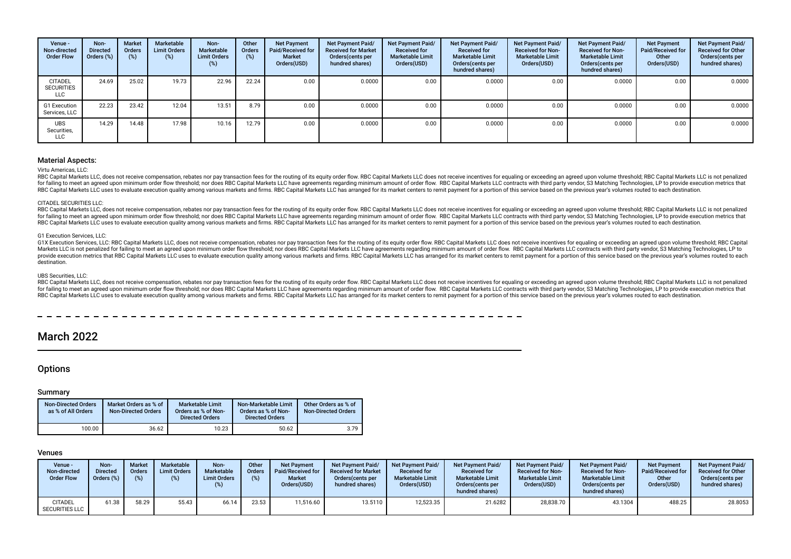| Venue -<br>Non-directed<br><b>Order Flow</b>      | Non-<br><b>Directed</b><br>Orders (%) | <b>Market</b><br><b>Orders</b><br>(%) | Marketable<br><b>Limit Orders</b><br>$(\%)$ | Non-<br><b>Marketable</b><br><b>Limit Orders</b><br>(%) | Other<br>Orders<br>(%) | <b>Net Payment</b><br>Paid/Received for<br><b>Market</b><br>Orders(USD) | <b>Net Payment Paid/</b><br><b>Received for Market</b><br>Orders(cents per<br>hundred shares) | Net Payment Paid/<br><b>Received for</b><br><b>Marketable Limit</b><br>Orders(USD) | Net Payment Paid/<br><b>Received for</b><br><b>Marketable Limit</b><br>Orders (cents per<br>hundred shares) | Net Payment Paid/<br><b>Received for Non-</b><br><b>Marketable Limit</b><br>Orders(USD) | Net Payment Paid/<br><b>Received for Non-</b><br><b>Marketable Limit</b><br>Orders (cents per<br>hundred shares) | <b>Net Payment</b><br>Paid/Received for<br>Other<br>Orders(USD) | <b>Net Payment Paid/</b><br><b>Received for Other</b><br>Orders(cents per<br>hundred shares) |
|---------------------------------------------------|---------------------------------------|---------------------------------------|---------------------------------------------|---------------------------------------------------------|------------------------|-------------------------------------------------------------------------|-----------------------------------------------------------------------------------------------|------------------------------------------------------------------------------------|-------------------------------------------------------------------------------------------------------------|-----------------------------------------------------------------------------------------|------------------------------------------------------------------------------------------------------------------|-----------------------------------------------------------------|----------------------------------------------------------------------------------------------|
| <b>CITADEL</b><br><b>SECURITIES</b><br><b>LLC</b> | 24.69                                 | 25.02                                 | 19.73                                       | 22.96                                                   | 22.24                  | 0.00                                                                    | 0.0000                                                                                        | 0.00                                                                               | 0.0000                                                                                                      | 0.00                                                                                    | 0.0000                                                                                                           | 0.00                                                            | 0.0000                                                                                       |
| G1 Execution<br>Services, LLC                     | 22.23                                 | 23.42                                 | 12.04                                       | 13.51                                                   | 8.79                   | 0.00                                                                    | 0.0000                                                                                        | 0.00                                                                               | 0.0000                                                                                                      | 0.00                                                                                    | 0.0000                                                                                                           | 0.00                                                            | 0.0000                                                                                       |
| <b>UBS</b><br>Securities,<br>LLC                  | 14.29                                 | 14.48                                 | 17.98                                       | 10.16                                                   | 12.79                  | 0.00                                                                    | 0.0000                                                                                        | 0.00                                                                               | 0.0000                                                                                                      | 0.00                                                                                    | 0.0000                                                                                                           | 0.00                                                            | 0.0000                                                                                       |

#### Virtu Americas, LLC:

RBC Capital Markets LLC, does not receive compensation, rebates nor pay transaction fees for the routing of its equity order flow. RBC Capital Markets LLC does not receive incentives for equaling or exceeding an agreed upo for failing to meet an agreed upon minimum order flow threshold, nor does RBC Capital Markets LLC have agreements regarding minimum amount of order flow. RBC Capital Markets LLC contracts with third party vendor, S3 Matchi RBC Capital Markets LLC uses to evaluate execution quality among various markets and firms. RBC Capital Markets LLC has arranged for its market centers to remit payment for a portion of this service based on the previous y

#### CITADEL SECURITIES LLC:

RBC Capital Markets LLC, does not receive compensation, rebates nor pay transaction fees for the routing of its equity order flow. RBC Capital Markets LLC does not receive incentives for equaling or exceeding an agreed upo for failing to meet an agreed upon minimum order flow threshold; nor does RBC Capital Markets LLC have agreements regarding minimum amount of order flow. RBC Capital Markets LLC contracts with third party vendor. S3 Matchi RBC Capital Markets LLC uses to evaluate execution quality among various markets and firms. RBC Capital Markets LLC has arranged for its market centers to remit payment for a portion of this service based on the previous v

#### G1 Execution Services, LLC:

G1X Execution Services, LLC: RBC Capital Markets LLC, does not receive compensation, rebates nor pay transaction fees for the routing of its equity order flow. RBC Capital Markets LLC does not receive incentives for equali Markets LLC is not penalized for failing to meet an agreed upon minimum order flow threshold; nor does RBC Capital Markets LLC have agreements regarding minimum amount of order flow. RBC Capital Markets LLC contracts with provide execution metrics that RBC Capital Markets LLC uses to evaluate execution quality among various markets and firms. RBC Capital Markets LLC has arranged for its market centers to remit payment for a portion of this destination.

#### UBS Securities, LLC:

RBC Capital Markets LLC, does not receive compensation, rebates nor pay transaction fees for the routing of its equity order flow. RBC Capital Markets LLC does not receive incentives for equaling or exceeding an agreed upo for failing to meet an agreed upon minimum order flow threshold: nor does RBC Capital Markets LLC have agreements regarding minimum amount of order flow. RBC Capital Markets LLC contracts with third party vendor. S3 Matchi RBC Capital Markets LLC uses to evaluate execution quality among various markets and firms. RBC Capital Markets LLC has arranged for its market centers to remit payment for a portion of this service based on the previous y

# March 2022

# **Options**

#### Summary

| <b>Non-Directed Orders</b><br>as % of All Orders | Market Orders as % of<br><b>Non-Directed Orders</b> | <b>Marketable Limit</b><br>Orders as % of Non-<br><b>Directed Orders</b> | Non-Marketable Limit<br>Orders as % of Non-<br><b>Directed Orders</b> | Other Orders as % of<br><b>Non-Directed Orders</b> |
|--------------------------------------------------|-----------------------------------------------------|--------------------------------------------------------------------------|-----------------------------------------------------------------------|----------------------------------------------------|
| 100.00                                           | 36.62                                               | 10.23                                                                    | 50.62                                                                 | 3.79                                               |

#### Venues

| Venue -<br>Non-directed<br><b>Order Flow</b> | Non-<br><b>Directed</b><br>Orders (%) | <b>Market</b><br><b>Orders</b><br>(%) | <b>Marketable</b><br><b>Limit Orders</b><br>$(\%)$ | Non-<br><b>Marketable</b><br><b>Limit Orders</b> | Other<br><b>Orders</b> | <b>Net Payment</b><br>Paid/Received for<br><b>Market</b><br>Orders(USD) | <b>Net Payment Paid/</b><br><b>Received for Market</b><br>Orders (cents per<br>hundred shares) | <b>Net Payment Paid/</b><br><b>Received for</b><br><b>Marketable Limit</b><br>Orders(USD) | <b>Net Payment Paid/</b><br><b>Received for</b><br><b>Marketable Limit</b><br>Orders (cents per<br>hundred shares) | <b>Net Payment Paid/</b><br><b>Received for Non-</b><br><b>Marketable Limit</b><br>Orders(USD) | <b>Net Payment Paid/</b><br><b>Received for Non-</b><br><b>Marketable Limit</b><br>Orders (cents per<br>hundred shares) | <b>Net Payment</b><br>Paid/Received for<br>Other<br>Orders(USD) | <b>Net Payment Paid/</b><br><b>Received for Other</b><br>Orders(cents per<br>hundred shares) |
|----------------------------------------------|---------------------------------------|---------------------------------------|----------------------------------------------------|--------------------------------------------------|------------------------|-------------------------------------------------------------------------|------------------------------------------------------------------------------------------------|-------------------------------------------------------------------------------------------|--------------------------------------------------------------------------------------------------------------------|------------------------------------------------------------------------------------------------|-------------------------------------------------------------------------------------------------------------------------|-----------------------------------------------------------------|----------------------------------------------------------------------------------------------|
| <b>CITADEL</b><br><b>SECURITIES LLC</b>      | 61.38                                 | 58.29                                 | 55.43                                              | 66.14                                            | 23.53                  | 11.516.60                                                               | $13.5110$ $\cdot$                                                                              | 12.523.35                                                                                 | 21.6282                                                                                                            | 28,838.70                                                                                      | 43.1304                                                                                                                 | 488.25                                                          | 28.8053                                                                                      |